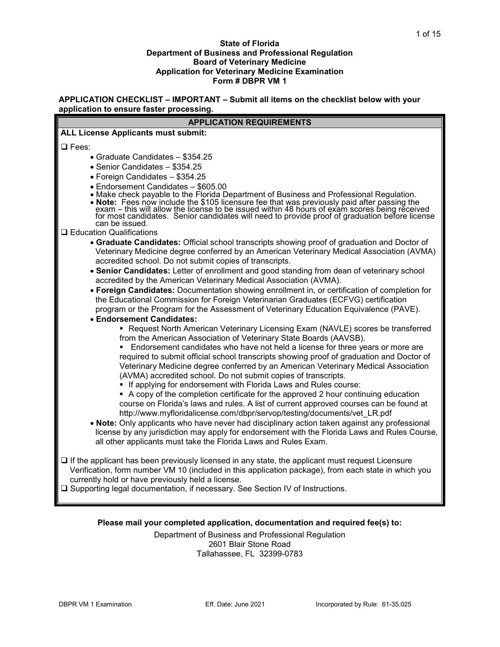#### **State of Florida Department of Business and Professional Regulation Board of Veterinary Medicine Application for Veterinary Medicine Examination Form # DBPR VM 1**

**APPLICATION CHECKLIST – IMPORTANT – Submit all items on the checklist below with your application to ensure faster processing.**

| <b>APPLICATION REQUIREMENTS</b>                                                                                                                                                                                                                                                                                                                                                                         |
|---------------------------------------------------------------------------------------------------------------------------------------------------------------------------------------------------------------------------------------------------------------------------------------------------------------------------------------------------------------------------------------------------------|
| <b>ALL License Applicants must submit:</b>                                                                                                                                                                                                                                                                                                                                                              |
| <b>Q</b> Fees:                                                                                                                                                                                                                                                                                                                                                                                          |
| • Graduate Candidates - \$354.25                                                                                                                                                                                                                                                                                                                                                                        |
| • Senior Candidates - \$354.25                                                                                                                                                                                                                                                                                                                                                                          |
| · Foreign Candidates - \$354.25                                                                                                                                                                                                                                                                                                                                                                         |
| • Endorsement Candidates - \$605.00<br>. Make check payable to the Florida Department of Business and Professional Regulation.<br>• Note: Fees how include the \$105 licensure fee that was previously paid after passing the<br>exam – this will allow the license to be issued within 48 hours of exam scores being received<br>for most candidates. Senior candidate<br>can be issued.               |
| □ Education Qualifications                                                                                                                                                                                                                                                                                                                                                                              |
| • Graduate Candidates: Official school transcripts showing proof of graduation and Doctor of<br>Veterinary Medicine degree conferred by an American Veterinary Medical Association (AVMA)<br>accredited school. Do not submit copies of transcripts.                                                                                                                                                    |
| . Senior Candidates: Letter of enrollment and good standing from dean of veterinary school<br>accredited by the American Veterinary Medical Association (AVMA).                                                                                                                                                                                                                                         |
| • Foreign Candidates: Documentation showing enrollment in, or certification of completion for<br>the Educational Commission for Foreign Veterinarian Graduates (ECFVG) certification<br>program or the Program for the Assessment of Veterinary Education Equivalence (PAVE).                                                                                                                           |
| • Endorsement Candidates:<br>• Request North American Veterinary Licensing Exam (NAVLE) scores be transferred<br>from the American Association of Veterinary State Boards (AAVSB).                                                                                                                                                                                                                      |
| Endorsement candidates who have not held a license for three years or more are<br>required to submit official school transcripts showing proof of graduation and Doctor of<br>Veterinary Medicine degree conferred by an American Veterinary Medical Association<br>(AVMA) accredited school. Do not submit copies of transcripts.<br>• If applying for endorsement with Florida Laws and Rules course: |
| • A copy of the completion certificate for the approved 2 hour continuing education<br>course on Florida's laws and rules. A list of current approved courses can be found at<br>http://www.myfloridalicense.com/dbpr/servop/testing/documents/vet_LR.pdf                                                                                                                                               |
| . Note: Only applicants who have never had disciplinary action taken against any professional<br>license by any jurisdiction may apply for endorsement with the Florida Laws and Rules Course,<br>all other applicants must take the Florida Laws and Rules Exam.                                                                                                                                       |
| $\Box$ If the applicant has been previously licensed in any state, the applicant must request Licensure<br>Verification, form number VM 10 (included in this application package), from each state in which you<br>currently hold or have previously held a license.<br>□ Supporting legal documentation, if necessary. See Section IV of Instructions.                                                 |

## **Please mail your completed application, documentation and required fee(s) to:**

Department of Business and Professional Regulation 2601 Blair Stone Road Tallahassee, FL 32399-0783

 $\Box$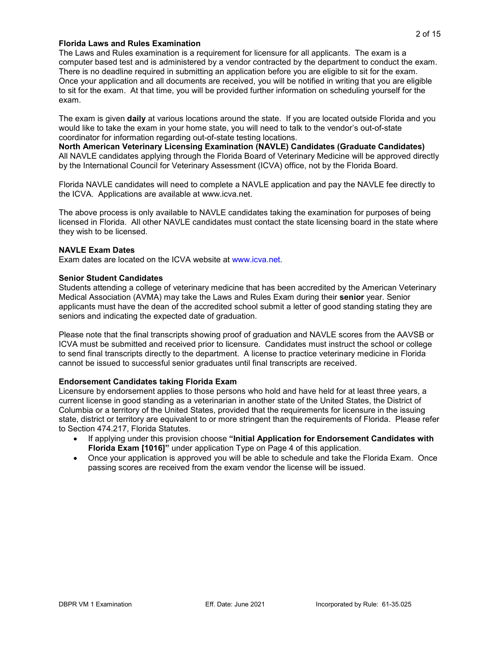#### **Florida Laws and Rules Examination**

The Laws and Rules examination is a requirement for licensure for all applicants. The exam is a computer based test and is administered by a vendor contracted by the department to conduct the exam. There is no deadline required in submitting an application before you are eligible to sit for the exam. Once your application and all documents are received, you will be notified in writing that you are eligible to sit for the exam. At that time, you will be provided further information on scheduling yourself for the exam.

The exam is given **daily** at various locations around the state. If you are located outside Florida and you would like to take the exam in your home state, you will need to talk to the vendor's out-of-state coordinator for information regarding out-of-state testing locations.

**North American Veterinary Licensing Examination (NAVLE) Candidates (Graduate Candidates)** All NAVLE candidates applying through the Florida Board of Veterinary Medicine will be approved directly by the International Council for Veterinary Assessment (ICVA) office, not by the Florida Board.

Florida NAVLE candidates will need to complete a NAVLE application and pay the NAVLE fee directly to the ICVA. Applications are available at www.icva.net.

The above process is only available to NAVLE candidates taking the examination for purposes of being licensed in Florida. All other NAVLE candidates must contact the state licensing board in the state where they wish to be licensed.

#### **NAVLE Exam Dates**

Exam dates are located on the ICVA website at [www.icva.net.](https://www.icva.net/)

#### **Senior Student Candidates**

Students attending a college of veterinary medicine that has been accredited by the American Veterinary Medical Association (AVMA) may take the Laws and Rules Exam during their **senior** year. Senior applicants must have the dean of the accredited school submit a letter of good standing stating they are seniors and indicating the expected date of graduation.

Please note that the final transcripts showing proof of graduation and NAVLE scores from the AAVSB or ICVA must be submitted and received prior to licensure. Candidates must instruct the school or college to send final transcripts directly to the department. A license to practice veterinary medicine in Florida cannot be issued to successful senior graduates until final transcripts are received.

#### **Endorsement Candidates taking Florida Exam**

Licensure by endorsement applies to those persons who hold and have held for at least three years, a current license in good standing as a veterinarian in another state of the United States, the District of Columbia or a territory of the United States, provided that the requirements for licensure in the issuing state, district or territory are equivalent to or more stringent than the requirements of Florida. Please refer to Section 474.217, Florida Statutes.

- If applying under this provision choose **"Initial Application for Endorsement Candidates with Florida Exam [1016]"** under application Type on Page 4 of this application.
- Once your application is approved you will be able to schedule and take the Florida Exam. Once passing scores are received from the exam vendor the license will be issued.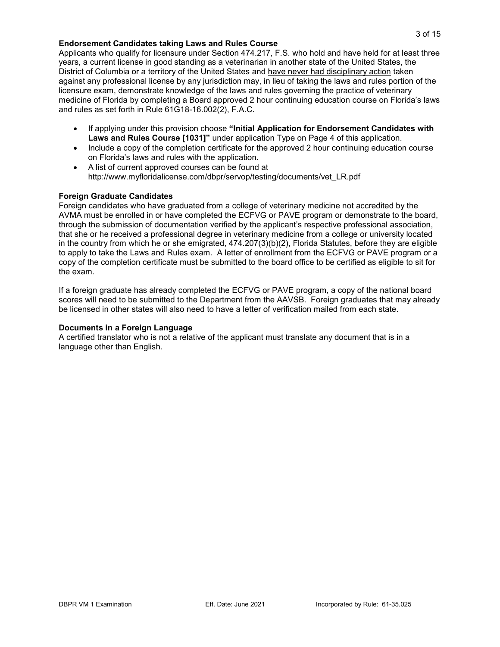#### **Endorsement Candidates taking Laws and Rules Course**

Applicants who qualify for licensure under Section 474.217, F.S. who hold and have held for at least three years, a current license in good standing as a veterinarian in another state of the United States, the District of Columbia or a territory of the United States and have never had disciplinary action taken against any professional license by any jurisdiction may, in lieu of taking the laws and rules portion of the licensure exam, demonstrate knowledge of the laws and rules governing the practice of veterinary medicine of Florida by completing a Board approved 2 hour continuing education course on Florida's laws and rules as set forth in Rule 61G18-16.002(2), F.A.C.

- If applying under this provision choose **"Initial Application for Endorsement Candidates with Laws and Rules Course [1031]"** under application Type on Page 4 of this application.
- Include a copy of the completion certificate for the approved 2 hour continuing education course on Florida's laws and rules with the application.
- A list of current approved courses can be found at http://www.myfloridalicense.com/dbpr/servop/testing/documents/vet\_LR.pdf

#### **Foreign Graduate Candidates**

Foreign candidates who have graduated from a college of veterinary medicine not accredited by the AVMA must be enrolled in or have completed the ECFVG or PAVE program or demonstrate to the board, through the submission of documentation verified by the applicant's respective professional association, that she or he received a professional degree in veterinary medicine from a college or university located in the country from which he or she emigrated, 474.207(3)(b)(2), Florida Statutes, before they are eligible to apply to take the Laws and Rules exam. A letter of enrollment from the ECFVG or PAVE program or a copy of the completion certificate must be submitted to the board office to be certified as eligible to sit for the exam.

If a foreign graduate has already completed the ECFVG or PAVE program, a copy of the national board scores will need to be submitted to the Department from the AAVSB. Foreign graduates that may already be licensed in other states will also need to have a letter of verification mailed from each state.

#### **Documents in a Foreign Language**

A certified translator who is not a relative of the applicant must translate any document that is in a language other than English.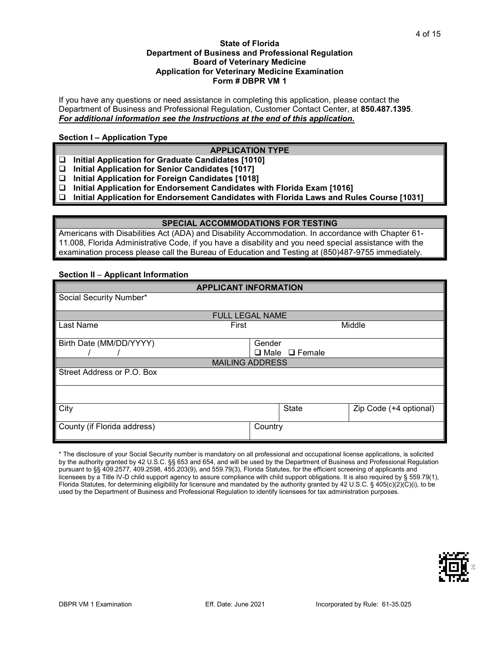#### **State of Florida Department of Business and Professional Regulation Board of Veterinary Medicine Application for Veterinary Medicine Examination Form # DBPR VM 1**

If you have any questions or need assistance in completing this application, please contact the Department of Business and Professional Regulation, Customer Contact Center, at **850.487.1395**. *For additional information see the Instructions at the end of this application.*

#### **Section I – Application Type**

### **APPLICATION TYPE**

- **Initial Application for Graduate Candidates [1010]**
- **Initial Application for Senior Candidates [1017]**
- **Initial Application for Foreign Candidates [1018]**
- **Initial Application for Endorsement Candidates with Florida Exam [1016]**
- **Initial Application for Endorsement Candidates with Florida Laws and Rules Course [1031]**

#### **SPECIAL ACCOMMODATIONS FOR TESTING**

Americans with Disabilities Act (ADA) and Disability Accommodation. In accordance with Chapter 61- 11.008, Florida Administrative Code, if you have a disability and you need special assistance with the examination process please call the Bureau of Education and Testing at (850)487-9755 immediately.

#### **Section II** – **Applicant Information**

|                             | <b>APPLICANT INFORMATION</b> |                        |
|-----------------------------|------------------------------|------------------------|
| Social Security Number*     |                              |                        |
|                             |                              |                        |
|                             | <b>FULL LEGAL NAME</b>       |                        |
| Last Name                   | First                        | Middle                 |
|                             |                              |                        |
| Birth Date (MM/DD/YYYY)     | Gender                       |                        |
|                             | $\Box$ Male $\Box$ Female    |                        |
|                             | <b>MAILING ADDRESS</b>       |                        |
| Street Address or P.O. Box  |                              |                        |
|                             |                              |                        |
|                             |                              |                        |
|                             |                              |                        |
| City                        | <b>State</b>                 | Zip Code (+4 optional) |
|                             |                              |                        |
| County (if Florida address) | Country                      |                        |
|                             |                              |                        |

\* The disclosure of your Social Security number is mandatory on all professional and occupational license applications, is solicited by the authority granted by 42 U.S.C. §§ 653 and 654, and will be used by the Department of Business and Professional Regulation pursuant to §§ 409.2577, 409.2598, 455.203(9), and 559.79(3), Florida Statutes, for the efficient screening of applicants and licensees by a Title IV-D child support agency to assure compliance with child support obligations. It is also required by § 559.79(1), Florida Statutes, for determining eligibility for licensure and mandated by the authority granted by 42 U.S.C. § 405(c)(2)(C)(i), to be used by the Department of Business and Professional Regulation to identify licensees for tax administration purposes.

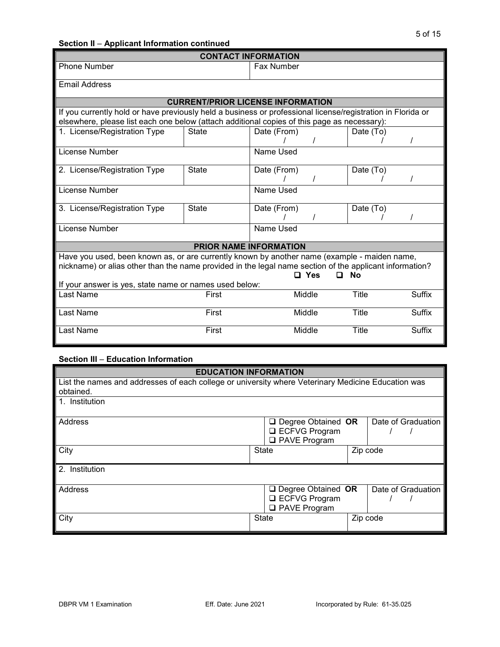# **Section II** – **Applicant Information continued**

| <b>CONTACT INFORMATION</b>                                                                                                                                                                                                  |                                          |             |        |              |               |
|-----------------------------------------------------------------------------------------------------------------------------------------------------------------------------------------------------------------------------|------------------------------------------|-------------|--------|--------------|---------------|
| <b>Phone Number</b>                                                                                                                                                                                                         |                                          | Fax Number  |        |              |               |
| <b>Email Address</b>                                                                                                                                                                                                        |                                          |             |        |              |               |
|                                                                                                                                                                                                                             | <b>CURRENT/PRIOR LICENSE INFORMATION</b> |             |        |              |               |
| If you currently hold or have previously held a business or professional license/registration in Florida or<br>elsewhere, please list each one below (attach additional copies of this page as necessary):                  |                                          |             |        |              |               |
| 1. License/Registration Type                                                                                                                                                                                                | <b>State</b>                             | Date (From) |        | Date (To)    |               |
| License Number                                                                                                                                                                                                              |                                          | Name Used   |        |              |               |
| 2. License/Registration Type                                                                                                                                                                                                | <b>State</b>                             | Date (From) |        | Date (To)    |               |
| License Number                                                                                                                                                                                                              |                                          | Name Used   |        |              |               |
| 3. License/Registration Type                                                                                                                                                                                                | <b>State</b>                             | Date (From) |        | Date (To)    |               |
| <b>License Number</b>                                                                                                                                                                                                       |                                          | Name Used   |        |              |               |
|                                                                                                                                                                                                                             | <b>PRIOR NAME INFORMATION</b>            |             |        |              |               |
| Have you used, been known as, or are currently known by another name (example - maiden name,<br>nickname) or alias other than the name provided in the legal name section of the applicant information?<br>Nο<br>□ Yes<br>n |                                          |             |        |              |               |
| If your answer is yes, state name or names used below:                                                                                                                                                                      |                                          |             |        |              |               |
| Last Name                                                                                                                                                                                                                   | First                                    |             | Middle | <b>Title</b> | <b>Suffix</b> |
| Last Name                                                                                                                                                                                                                   | First                                    |             | Middle | Title        | <b>Suffix</b> |
| Last Name                                                                                                                                                                                                                   | First                                    |             | Middle | Title        | <b>Suffix</b> |

# **Section III** – **Education Information**

| <b>EDUCATION INFORMATION</b>                                                                       |              |                           |  |                    |
|----------------------------------------------------------------------------------------------------|--------------|---------------------------|--|--------------------|
| List the names and addresses of each college or university where Veterinary Medicine Education was |              |                           |  |                    |
| obtained.                                                                                          |              |                           |  |                    |
| 1. Institution                                                                                     |              |                           |  |                    |
| Address                                                                                            |              | $\Box$ Degree Obtained OR |  | Date of Graduation |
|                                                                                                    |              | □ ECFVG Program           |  |                    |
|                                                                                                    |              | <b>Q</b> PAVE Program     |  |                    |
| City                                                                                               | <b>State</b> |                           |  | Zip code           |
|                                                                                                    |              |                           |  |                    |
| 2. Institution                                                                                     |              |                           |  |                    |
|                                                                                                    |              |                           |  |                    |
| Address                                                                                            |              | $\Box$ Degree Obtained OR |  | Date of Graduation |
|                                                                                                    |              | □ ECFVG Program           |  |                    |
|                                                                                                    |              | <b>Q</b> PAVE Program     |  |                    |
| City                                                                                               | State        |                           |  | Zip code           |
|                                                                                                    |              |                           |  |                    |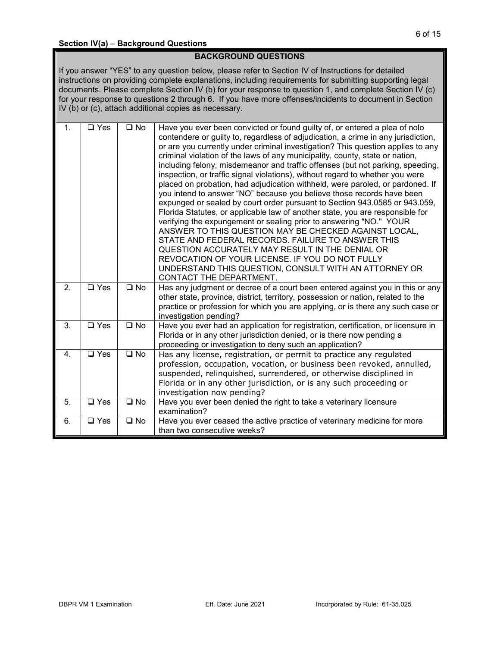## **BACKGROUND QUESTIONS**

If you answer "YES" to any question below, please refer to Section IV of Instructions for detailed instructions on providing complete explanations, including requirements for submitting supporting legal documents. Please complete Section IV (b) for your response to question 1, and complete Section IV (c) for your response to questions 2 through 6. If you have more offenses/incidents to document in Section IV (b) or (c), attach additional copies as necessary.

| 1. | $\square$ Yes      | $\square$ No | Have you ever been convicted or found guilty of, or entered a plea of nolo<br>contendere or guilty to, regardless of adjudication, a crime in any jurisdiction,<br>or are you currently under criminal investigation? This question applies to any<br>criminal violation of the laws of any municipality, county, state or nation,<br>including felony, misdemeanor and traffic offenses (but not parking, speeding,<br>inspection, or traffic signal violations), without regard to whether you were<br>placed on probation, had adjudication withheld, were paroled, or pardoned. If<br>you intend to answer "NO" because you believe those records have been<br>expunged or sealed by court order pursuant to Section 943.0585 or 943.059,<br>Florida Statutes, or applicable law of another state, you are responsible for<br>verifying the expungement or sealing prior to answering "NO." YOUR<br>ANSWER TO THIS QUESTION MAY BE CHECKED AGAINST LOCAL,<br>STATE AND FEDERAL RECORDS. FAILURE TO ANSWER THIS<br>QUESTION ACCURATELY MAY RESULT IN THE DENIAL OR<br>REVOCATION OF YOUR LICENSE. IF YOU DO NOT FULLY<br>UNDERSTAND THIS QUESTION, CONSULT WITH AN ATTORNEY OR<br>CONTACT THE DEPARTMENT. |
|----|--------------------|--------------|--------------------------------------------------------------------------------------------------------------------------------------------------------------------------------------------------------------------------------------------------------------------------------------------------------------------------------------------------------------------------------------------------------------------------------------------------------------------------------------------------------------------------------------------------------------------------------------------------------------------------------------------------------------------------------------------------------------------------------------------------------------------------------------------------------------------------------------------------------------------------------------------------------------------------------------------------------------------------------------------------------------------------------------------------------------------------------------------------------------------------------------------------------------------------------------------------------------|
| 2. | $\overline{u}$ Yes | $\square$ No | Has any judgment or decree of a court been entered against you in this or any<br>other state, province, district, territory, possession or nation, related to the<br>practice or profession for which you are applying, or is there any such case or<br>investigation pending?                                                                                                                                                                                                                                                                                                                                                                                                                                                                                                                                                                                                                                                                                                                                                                                                                                                                                                                               |
| 3. | $\Box$ Yes         | $\square$ No | Have you ever had an application for registration, certification, or licensure in<br>Florida or in any other jurisdiction denied, or is there now pending a<br>proceeding or investigation to deny such an application?                                                                                                                                                                                                                                                                                                                                                                                                                                                                                                                                                                                                                                                                                                                                                                                                                                                                                                                                                                                      |
| 4. | $\square$ Yes      | $\square$ No | Has any license, registration, or permit to practice any regulated<br>profession, occupation, vocation, or business been revoked, annulled,<br>suspended, relinquished, surrendered, or otherwise disciplined in<br>Florida or in any other jurisdiction, or is any such proceeding or<br>investigation now pending?                                                                                                                                                                                                                                                                                                                                                                                                                                                                                                                                                                                                                                                                                                                                                                                                                                                                                         |
| 5. | $\overline{u}$ Yes | $\square$ No | Have you ever been denied the right to take a veterinary licensure<br>examination?                                                                                                                                                                                                                                                                                                                                                                                                                                                                                                                                                                                                                                                                                                                                                                                                                                                                                                                                                                                                                                                                                                                           |
| 6. | $\Box$ Yes         | $\square$ No | Have you ever ceased the active practice of veterinary medicine for more<br>than two consecutive weeks?                                                                                                                                                                                                                                                                                                                                                                                                                                                                                                                                                                                                                                                                                                                                                                                                                                                                                                                                                                                                                                                                                                      |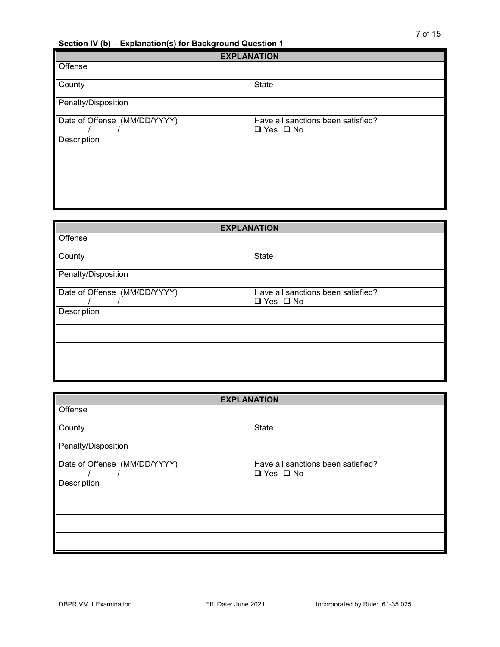**Section IV (b) – Explanation(s) for Background Question 1**

|                              | <b>EXPLANATION</b>                                         |
|------------------------------|------------------------------------------------------------|
| Offense                      |                                                            |
| County                       | State                                                      |
| Penalty/Disposition          |                                                            |
| Date of Offense (MM/DD/YYYY) | Have all sanctions been satisfied?<br>$\Box$ Yes $\Box$ No |
| Description                  |                                                            |
|                              |                                                            |
|                              |                                                            |
|                              |                                                            |

| <b>EXPLANATION</b>           |                                    |  |  |
|------------------------------|------------------------------------|--|--|
| Offense                      |                                    |  |  |
|                              |                                    |  |  |
| County                       | State                              |  |  |
| Penalty/Disposition          |                                    |  |  |
| Date of Offense (MM/DD/YYYY) | Have all sanctions been satisfied? |  |  |
|                              | $\Box$ Yes $\Box$ No               |  |  |
| Description                  |                                    |  |  |
|                              |                                    |  |  |
|                              |                                    |  |  |
|                              |                                    |  |  |
|                              |                                    |  |  |
|                              |                                    |  |  |
|                              |                                    |  |  |

| <b>EXPLANATION</b>           |                                                            |  |  |  |
|------------------------------|------------------------------------------------------------|--|--|--|
| Offense                      |                                                            |  |  |  |
| County                       | State                                                      |  |  |  |
| Penalty/Disposition          |                                                            |  |  |  |
| Date of Offense (MM/DD/YYYY) | Have all sanctions been satisfied?<br>$\Box$ Yes $\Box$ No |  |  |  |
| Description                  |                                                            |  |  |  |
|                              |                                                            |  |  |  |
|                              |                                                            |  |  |  |
|                              |                                                            |  |  |  |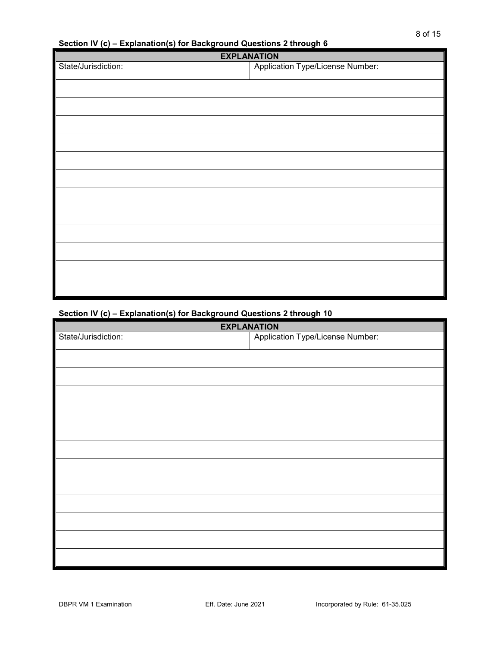# **Section IV (c) – Explanation(s) for Background Questions 2 through 6**

| <b>EXPLANATION</b>                      |  |  |  |  |
|-----------------------------------------|--|--|--|--|
| <b>Application Type/License Number:</b> |  |  |  |  |
|                                         |  |  |  |  |
|                                         |  |  |  |  |
|                                         |  |  |  |  |
|                                         |  |  |  |  |
|                                         |  |  |  |  |
|                                         |  |  |  |  |
|                                         |  |  |  |  |
|                                         |  |  |  |  |
|                                         |  |  |  |  |
|                                         |  |  |  |  |
|                                         |  |  |  |  |
|                                         |  |  |  |  |
|                                         |  |  |  |  |

# **Section IV (c) – Explanation(s) for Background Questions 2 through 10**

| <b>Application Type/License Number:</b> |
|-----------------------------------------|
|                                         |
|                                         |
|                                         |
|                                         |
|                                         |
|                                         |
|                                         |
|                                         |
|                                         |
|                                         |
|                                         |
|                                         |
|                                         |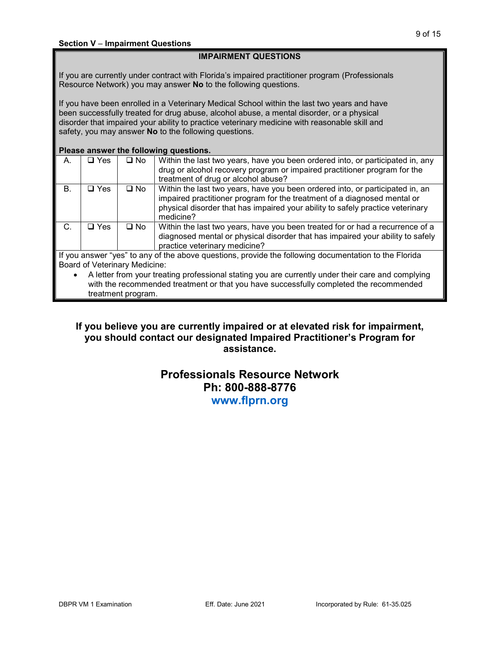# **IMPAIRMENT QUESTIONS**

If you are currently under contract with Florida's impaired practitioner program (Professionals Resource Network) you may answer **No** to the following questions.

If you have been enrolled in a Veterinary Medical School within the last two years and have been successfully treated for drug abuse, alcohol abuse, a mental disorder, or a physical disorder that impaired your ability to practice veterinary medicine with reasonable skill and safety, you may answer **No** to the following questions.

#### **Please answer the following questions.**

| А.           | $\Box$ Yes   | $\square$ No | Within the last two years, have you been ordered into, or participated in, any<br>drug or alcohol recovery program or impaired practitioner program for the<br>treatment of drug or alcohol abuse?                                                       |
|--------------|--------------|--------------|----------------------------------------------------------------------------------------------------------------------------------------------------------------------------------------------------------------------------------------------------------|
| В.           | <b>⊒</b> Yes | $\square$ No | Within the last two years, have you been ordered into, or participated in, an<br>impaired practitioner program for the treatment of a diagnosed mental or<br>physical disorder that has impaired your ability to safely practice veterinary<br>medicine? |
| C.           | ר Yes        | $\square$ No | Within the last two years, have you been treated for or had a recurrence of a<br>diagnosed mental or physical disorder that has impaired your ability to safely<br>practice veterinary medicine?                                                         |
| $\mathbf{r}$ | $\epsilon$   |              | .                                                                                                                                                                                                                                                        |

If you answer "yes" to any of the above questions, provide the following documentation to the Florida Board of Veterinary Medicine:

• A letter from your treating professional stating you are currently under their care and complying with the recommended treatment or that you have successfully completed the recommended treatment program.

# **If you believe you are currently impaired or at elevated risk for impairment, you should contact our designated Impaired Practitioner's Program for assistance.**

# **Professionals Resource Network Ph: 800-888-8776 www.flprn.org**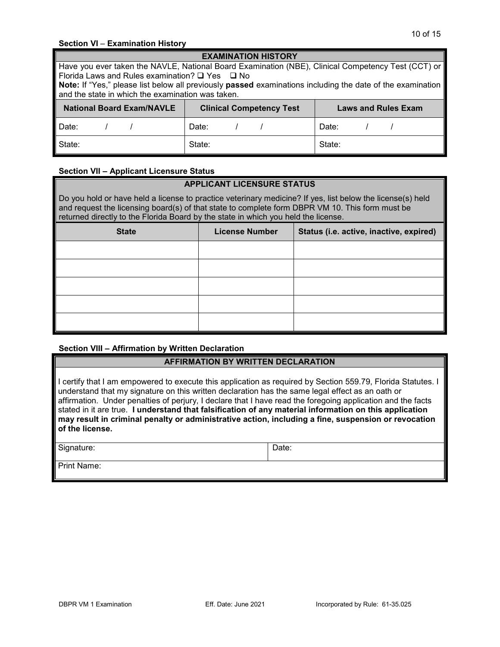#### **Section VI** – **Examination History**

| <b>EXAMINATION HISTORY</b>                                                                         |                                                                                                                          |                            |  |  |
|----------------------------------------------------------------------------------------------------|--------------------------------------------------------------------------------------------------------------------------|----------------------------|--|--|
| Have you ever taken the NAVLE, National Board Examination (NBE), Clinical Competency Test (CCT) or |                                                                                                                          |                            |  |  |
| Florida Laws and Rules examination? $\Box$ Yes $\Box$ No                                           |                                                                                                                          |                            |  |  |
|                                                                                                    | <b>Note:</b> If "Yes," please list below all previously <b>passed</b> examinations including the date of the examination |                            |  |  |
| and the state in which the examination was taken.                                                  |                                                                                                                          |                            |  |  |
| <b>National Board Exam/NAVLE</b>                                                                   | <b>Clinical Competency Test</b>                                                                                          | <b>Laws and Rules Exam</b> |  |  |
| Date:                                                                                              | Date:                                                                                                                    | Date:                      |  |  |
| State:                                                                                             | State:                                                                                                                   | State:                     |  |  |

#### **Section VII – Applicant Licensure Status**

# **APPLICANT LICENSURE STATUS**

Do you hold or have held a license to practice veterinary medicine? If yes, list below the license(s) held and request the licensing board(s) of that state to complete form DBPR VM 10. This form must be returned directly to the Florida Board by the state in which you held the license.

| <b>State</b> | <b>License Number</b> | Status (i.e. active, inactive, expired) |
|--------------|-----------------------|-----------------------------------------|
|              |                       |                                         |
|              |                       |                                         |
|              |                       |                                         |
|              |                       |                                         |
|              |                       |                                         |

#### **Section VIII – Affirmation by Written Declaration**

## **AFFIRMATION BY WRITTEN DECLARATION**

I certify that I am empowered to execute this application as required by Section 559.79, Florida Statutes. I understand that my signature on this written declaration has the same legal effect as an oath or affirmation. Under penalties of perjury, I declare that I have read the foregoing application and the facts stated in it are true. **I understand that falsification of any material information on this application may result in criminal penalty or administrative action, including a fine, suspension or revocation of the license.**

Signature:  $\qquad \qquad$  Date:

Print Name: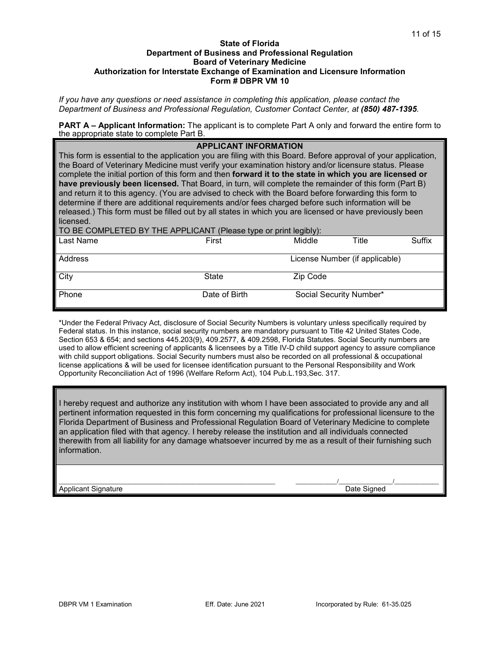#### **State of Florida Department of Business and Professional Regulation Board of Veterinary Medicine Authorization for Interstate Exchange of Examination and Licensure Information Form # DBPR VM 10**

*If you have any questions or need assistance in completing this application, please contact the Department of Business and Professional Regulation, Customer Contact Center, at (850) 487-1395.*

**PART A – Applicant Information:** The applicant is to complete Part A only and forward the entire form to the appropriate state to complete Part B.

#### **APPLICANT INFORMATION**

This form is essential to the application you are filing with this Board. Before approval of your application, the Board of Veterinary Medicine must verify your examination history and/or licensure status. Please complete the initial portion of this form and then **forward it to the state in which you are licensed or have previously been licensed.** That Board, in turn, will complete the remainder of this form (Part B) and return it to this agency. (You are advised to check with the Board before forwarding this form to determine if there are additional requirements and/or fees charged before such information will be released.) This form must be filled out by all states in which you are licensed or have previously been licensed.

TO BE COMPLETED BY THE APPLICANT (Please type or print legibly):

| Last Name | First         | $\cdot$ - $\cdot$ $\cdot$ $\cdot$ $\cdot$ $\cdot$ $\cdot$ $\cdot$<br>Middle | Title                          | Suffix |
|-----------|---------------|-----------------------------------------------------------------------------|--------------------------------|--------|
| Address   |               |                                                                             | License Number (if applicable) |        |
| City      | State         | Zip Code                                                                    |                                |        |
| Phone     | Date of Birth |                                                                             | Social Security Number*        |        |

\*Under the Federal Privacy Act, disclosure of Social Security Numbers is voluntary unless specifically required by Federal status. In this instance, social security numbers are mandatory pursuant to Title 42 United States Code, Section 653 & 654; and sections 445.203(9), 409.2577, & 409.2598, Florida Statutes. Social Security numbers are used to allow efficient screening of applicants & licensees by a Title IV-D child support agency to assure compliance with child support obligations. Social Security numbers must also be recorded on all professional & occupational license applications & will be used for licensee identification pursuant to the Personal Responsibility and Work Opportunity Reconciliation Act of 1996 (Welfare Reform Act), 104 Pub.L.193,Sec. 317.

I hereby request and authorize any institution with whom I have been associated to provide any and all pertinent information requested in this form concerning my qualifications for professional licensure to the Florida Department of Business and Professional Regulation Board of Veterinary Medicine to complete an application filed with that agency. I hereby release the institution and all individuals connected therewith from all liability for any damage whatsoever incurred by me as a result of their furnishing such information.

\_\_\_\_\_\_\_\_\_\_\_\_\_\_\_\_\_\_\_\_\_\_\_\_\_\_\_\_\_\_\_\_\_\_\_\_\_\_\_\_\_\_\_\_\_\_\_\_\_\_\_\_\_\_\_\_\_\_\_\_\_\_\_\_\_\_\_\_ \_\_\_\_\_\_\_\_\_\_\_\_\_/\_\_\_\_\_\_\_\_\_\_\_\_\_\_\_\_\_/\_\_\_\_\_\_\_\_\_\_\_\_\_\_ Applicant Signature **Date Signature** Applicant Signature **Date Signed Date Signed**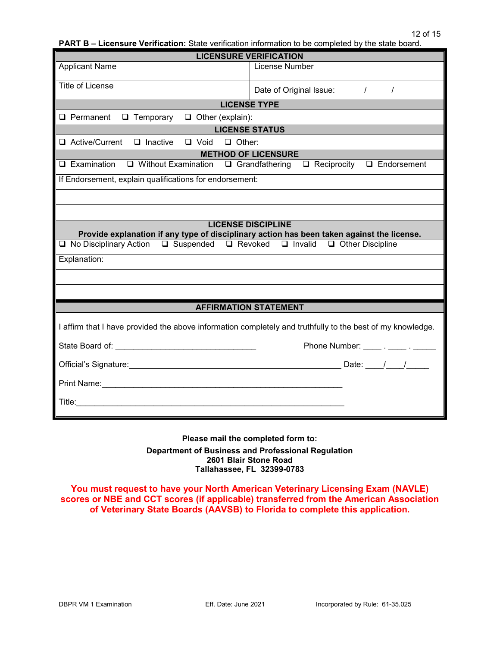| <b>PART B – Licensure Verification:</b> State verification information to be completed by the state board. |  |  |  |
|------------------------------------------------------------------------------------------------------------|--|--|--|
|------------------------------------------------------------------------------------------------------------|--|--|--|

| <b>LICENSURE VERIFICATION</b>                                                                              |                                                                                            |  |  |  |
|------------------------------------------------------------------------------------------------------------|--------------------------------------------------------------------------------------------|--|--|--|
| <b>Applicant Name</b>                                                                                      | License Number                                                                             |  |  |  |
| Title of License                                                                                           | Date of Original Issue: /<br>$\prime$                                                      |  |  |  |
| <b>LICENSE TYPE</b>                                                                                        |                                                                                            |  |  |  |
| $\Box$ Temporary<br>$\Box$ Other (explain):<br>$\Box$ Permanent                                            |                                                                                            |  |  |  |
| <b>LICENSE STATUS</b>                                                                                      |                                                                                            |  |  |  |
| $\Box$ Active/Current<br>$\Box$ Inactive<br>$\Box$ Void $\Box$ Other:                                      |                                                                                            |  |  |  |
|                                                                                                            | <b>METHOD OF LICENSURE</b>                                                                 |  |  |  |
| $\Box$ Examination                                                                                         | $\Box$ Without Examination $\Box$ Grandfathering $\Box$ Reciprocity $\Box$ Endorsement     |  |  |  |
| If Endorsement, explain qualifications for endorsement:                                                    |                                                                                            |  |  |  |
|                                                                                                            |                                                                                            |  |  |  |
|                                                                                                            |                                                                                            |  |  |  |
| <b>LICENSE DISCIPLINE</b>                                                                                  | Provide explanation if any type of disciplinary action has been taken against the license. |  |  |  |
| □ No Disciplinary Action □ Suspended □ Revoked □ Invalid □ Other Discipline                                |                                                                                            |  |  |  |
| Explanation:                                                                                               |                                                                                            |  |  |  |
|                                                                                                            |                                                                                            |  |  |  |
|                                                                                                            |                                                                                            |  |  |  |
| <b>AFFIRMATION STATEMENT</b>                                                                               |                                                                                            |  |  |  |
|                                                                                                            |                                                                                            |  |  |  |
| I affirm that I have provided the above information completely and truthfully to the best of my knowledge. |                                                                                            |  |  |  |
|                                                                                                            | Phone Number: _____ . _____ . ______                                                       |  |  |  |
|                                                                                                            |                                                                                            |  |  |  |
|                                                                                                            |                                                                                            |  |  |  |
|                                                                                                            |                                                                                            |  |  |  |
|                                                                                                            |                                                                                            |  |  |  |

**Please mail the completed form to: Department of Business and Professional Regulation 2601 Blair Stone Road Tallahassee, FL 32399-0783**

**You must request to have your North American Veterinary Licensing Exam (NAVLE) scores or NBE and CCT scores (if applicable) transferred from the American Association of Veterinary State Boards (AAVSB) to Florida to complete this application.**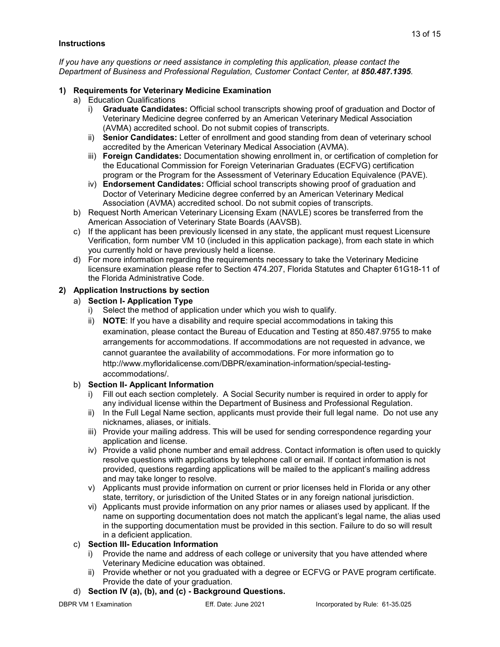#### **Instructions**

*If you have any questions or need assistance in completing this application, please contact the Department of Business and Professional Regulation, Customer Contact Center, at 850.487.1395.*

#### **1) Requirements for Veterinary Medicine Examination**

- a) Education Qualifications
	- i) **Graduate Candidates:** Official school transcripts showing proof of graduation and Doctor of Veterinary Medicine degree conferred by an American Veterinary Medical Association (AVMA) accredited school. Do not submit copies of transcripts.
	- ii) **Senior Candidates:** Letter of enrollment and good standing from dean of veterinary school accredited by the American Veterinary Medical Association (AVMA).
	- iii) **Foreign Candidates:** Documentation showing enrollment in, or certification of completion for the Educational Commission for Foreign Veterinarian Graduates (ECFVG) certification program or the Program for the Assessment of Veterinary Education Equivalence (PAVE).
	- iv) **Endorsement Candidates:** Official school transcripts showing proof of graduation and Doctor of Veterinary Medicine degree conferred by an American Veterinary Medical Association (AVMA) accredited school. Do not submit copies of transcripts.
- b) Request North American Veterinary Licensing Exam (NAVLE) scores be transferred from the American Association of Veterinary State Boards (AAVSB).
- c) If the applicant has been previously licensed in any state, the applicant must request Licensure Verification, form number VM 10 (included in this application package), from each state in which you currently hold or have previously held a license.
- d) For more information regarding the requirements necessary to take the Veterinary Medicine licensure examination please refer to Section 474.207, Florida Statutes and Chapter 61G18-11 of the Florida Administrative Code.

#### **2) Application Instructions by section**

- a) **Section I- Application Type**
	- i) Select the method of application under which you wish to qualify.
	- ii) **NOTE**: If you have a disability and require special accommodations in taking this examination, please contact the Bureau of Education and Testing at 850.487.9755 to make arrangements for accommodations. If accommodations are not requested in advance, we cannot guarantee the availability of accommodations. For more information go to http://www.myfloridalicense.com/DBPR/examination-information/special-testingaccommodations/.

#### b) **Section II- Applicant Information**

- i) Fill out each section completely. A Social Security number is required in order to apply for any individual license within the Department of Business and Professional Regulation.
- ii) In the Full Legal Name section, applicants must provide their full legal name. Do not use any nicknames, aliases, or initials.
- iii) Provide your mailing address. This will be used for sending correspondence regarding your application and license.
- iv) Provide a valid phone number and email address. Contact information is often used to quickly resolve questions with applications by telephone call or email. If contact information is not provided, questions regarding applications will be mailed to the applicant's mailing address and may take longer to resolve.
- v) Applicants must provide information on current or prior licenses held in Florida or any other state, territory, or jurisdiction of the United States or in any foreign national jurisdiction.
- vi) Applicants must provide information on any prior names or aliases used by applicant. If the name on supporting documentation does not match the applicant's legal name, the alias used in the supporting documentation must be provided in this section. Failure to do so will result in a deficient application.

#### c) **Section III- Education Information**

- i) Provide the name and address of each college or university that you have attended where Veterinary Medicine education was obtained.
- ii) Provide whether or not you graduated with a degree or ECFVG or PAVE program certificate. Provide the date of your graduation.

#### d) **Section IV (a), (b), and (c) - Background Questions.**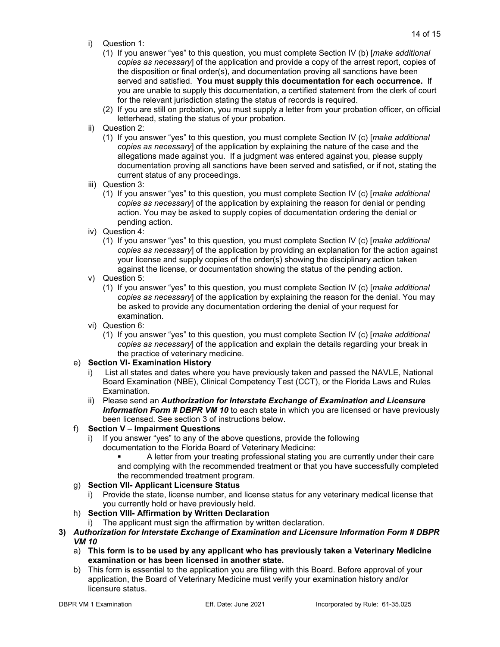- i) Question 1:
	- (1) If you answer "yes" to this question, you must complete Section IV (b) [*make additional copies as necessary*] of the application and provide a copy of the arrest report, copies of the disposition or final order(s), and documentation proving all sanctions have been served and satisfied. **You must supply this documentation for each occurrence.** If you are unable to supply this documentation, a certified statement from the clerk of court for the relevant jurisdiction stating the status of records is required.
	- (2) If you are still on probation, you must supply a letter from your probation officer, on official letterhead, stating the status of your probation.
- ii) Question 2:
	- (1) If you answer "yes" to this question, you must complete Section IV (c) [*make additional copies as necessary*] of the application by explaining the nature of the case and the allegations made against you. If a judgment was entered against you, please supply documentation proving all sanctions have been served and satisfied, or if not, stating the current status of any proceedings.
- iii) Question 3:
	- (1) If you answer "yes" to this question, you must complete Section IV (c) [*make additional copies as necessary*] of the application by explaining the reason for denial or pending action. You may be asked to supply copies of documentation ordering the denial or pending action.
- iv) Question 4:
	- (1) If you answer "yes" to this question, you must complete Section IV (c) [*make additional copies as necessary*] of the application by providing an explanation for the action against your license and supply copies of the order(s) showing the disciplinary action taken against the license, or documentation showing the status of the pending action.
- v) Question 5:
	- (1) If you answer "yes" to this question, you must complete Section IV (c) [*make additional copies as necessary*] of the application by explaining the reason for the denial. You may be asked to provide any documentation ordering the denial of your request for examination.
- vi) Question 6:
	- (1) If you answer "yes" to this question, you must complete Section IV (c) [*make additional copies as necessary*] of the application and explain the details regarding your break in the practice of veterinary medicine.

#### e) **Section VI- Examination History**

- i) List all states and dates where you have previously taken and passed the NAVLE, National Board Examination (NBE), Clinical Competency Test (CCT), or the Florida Laws and Rules Examination.
- ii) Please send an *Authorization for Interstate Exchange of Examination and Licensure*  **Information Form # DBPR VM 10** to each state in which you are licensed or have previously been licensed. See section 3 of instructions below.

#### f) **Section V** – **Impairment Questions**

- i) If you answer "yes" to any of the above questions, provide the following documentation to the Florida Board of Veterinary Medicine:
	- A letter from your treating professional stating you are currently under their care and complying with the recommended treatment or that you have successfully completed the recommended treatment program.

## g) **Section VII- Applicant Licensure Status**

i) Provide the state, license number, and license status for any veterinary medical license that you currently hold or have previously held.

## h) **Section VIII- Affirmation by Written Declaration**

i) The applicant must sign the affirmation by written declaration.

#### **3)** *Authorization for Interstate Exchange of Examination and Licensure Information Form # DBPR VM 10*

- a) **This form is to be used by any applicant who has previously taken a Veterinary Medicine examination or has been licensed in another state.**
- b) This form is essential to the application you are filing with this Board. Before approval of your application, the Board of Veterinary Medicine must verify your examination history and/or licensure status.